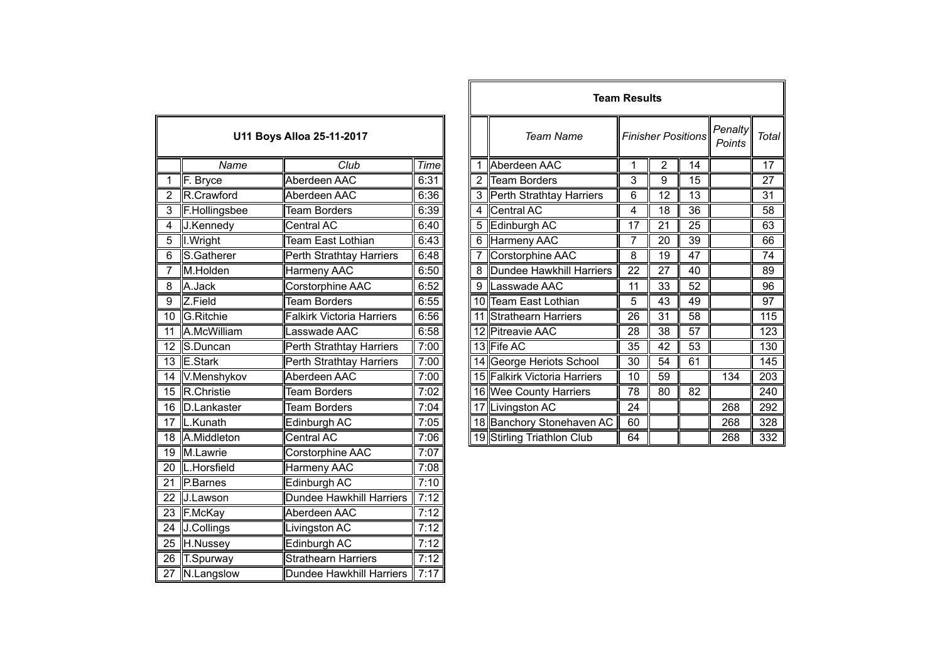| U11 Boys Alloa 25-11-2017 |                    |                                  |             |  |
|---------------------------|--------------------|----------------------------------|-------------|--|
|                           | Name               | $\overline{\text{Club}}$         | <b>Time</b> |  |
| 1                         | F. Bryce           | Aberdeen AAC                     | 6:31        |  |
| $\overline{2}$            | R.Crawford         | Aberdeen AAC                     | 6:36        |  |
| $\overline{3}$            | F.Hollingsbee      | <b>Team Borders</b>              | 6:39        |  |
| $\overline{4}$            | J.Kennedy          | <b>Central AC</b>                | 6:40        |  |
| $\overline{5}$            | I. Wright          | Team East Lothian                | 6:43        |  |
| $\overline{6}$            | S.Gatherer         | Perth Strathtay Harriers         | 6:48        |  |
| 7                         | M.Holden           | Harmeny AAC                      | 6:50        |  |
| 8                         | A.Jack             | Corstorphine AAC                 | 6:52        |  |
| $\overline{9}$            | Z.Field            | <b>Team Borders</b>              | 6:55        |  |
| $\overline{10}$           | G.Ritchie          | <b>Falkirk Victoria Harriers</b> | 6:56        |  |
| 11                        | A.McWilliam        | Lasswade AAC                     | 6:58        |  |
| $\overline{12}$           | S.Duncan           | <b>Perth Strathtay Harriers</b>  | 7:00        |  |
| 13                        | E.Stark            | <b>Perth Strathtay Harriers</b>  | 7:00        |  |
| $\overline{14}$           | V.Menshykov        | Aberdeen AAC                     | 7:00        |  |
| $\overline{15}$           | R.Christie         | <b>Team Borders</b>              | 7:02        |  |
| $\overline{16}$           | <b>D.Lankaster</b> | <b>Team Borders</b>              | 7:04        |  |
| 17                        | L.Kunath           | Edinburgh AC                     | 7:05        |  |
| $\overline{18}$           | A.Middleton        | <b>Central AC</b>                | 7:06        |  |
| $\overline{1}9$           | M.Lawrie           | Corstorphine AAC                 | 7:07        |  |
| 20                        | L.Horsfield        | <b>Harmeny AAC</b>               | 7:08        |  |
| $\overline{21}$           | P.Barnes           | Edinburgh AC                     | 7:10        |  |
| $\overline{22}$           | J.Lawson           | Dundee Hawkhill Harriers         | 7:12        |  |
| 23                        | F.McKay            | Aberdeen AAC                     | 7:12        |  |
| 24                        | J.Collings         | Livingston AC                    | 7:12        |  |
| $\overline{25}$           | H.Nussey           | Edinburgh AC                     | 7:12        |  |
| 26                        | T.Spurway          | <b>Strathearn Harriers</b>       | 7:12        |  |
| $\overline{27}$           | N.Langslow         | Dundee Hawkhill Harriers         | 7:17        |  |

|                |                |                           |      |   |                              | <b>Team Results</b> |                           |    |                   |                  |
|----------------|----------------|---------------------------|------|---|------------------------------|---------------------|---------------------------|----|-------------------|------------------|
|                |                | U11 Boys Alloa 25-11-2017 |      |   | Team Name                    |                     | <b>Finisher Positions</b> |    | Penalty<br>Points | Total            |
|                | Name           | Club                      | Time |   | Aberdeen AAC                 |                     | $\overline{2}$            | 14 |                   | 17               |
|                | F. Bryce       | Aberdeen AAC              | 6:31 |   | 2 Team Borders               | 3                   | 9                         | 15 |                   | 27               |
|                | R.Crawford     | Aberdeen AAC              | 6:36 |   | 3 Perth Strathtay Harriers   | 6                   | 12                        | 13 |                   | 31               |
| 3              | F.Hollingsbee  | <b>Team Borders</b>       | 6:39 | 4 | Central AC                   | 4                   | 18                        | 36 |                   | 58               |
| 4              | J.Kennedy      | Central AC                | 6:40 |   | 5 Edinburgh AC               | 17                  | 21                        | 25 |                   | 63               |
| 5              | I. Wright      | Team East Lothian         | 6:43 | 6 | Harmeny AAC                  | 7                   | 20                        | 39 |                   | 66               |
| $\overline{6}$ | S.Gatherer     | Perth Strathtay Harriers  | 6:48 |   | Corstorphine AAC             | 8                   | 19                        | 47 |                   | 74               |
|                | M.Holden       | Harmeny AAC               | 6:50 |   | 8 Dundee Hawkhill Harriers   | 22                  | 27                        | 40 |                   | 89               |
| 8              | A.Jack         | Corstorphine AAC          | 6:52 |   | 9 Lasswade AAC               | 11                  | 33                        | 52 |                   | 96               |
| 9              | Z.Field        | Team Borders              | 6:55 |   | 10 Team East Lothian         | 5                   | 43                        | 49 |                   | 97               |
|                | 10 G.Ritchie   | Falkirk Victoria Harriers | 6:56 |   | 11 Strathearn Harriers       | 26                  | 31                        | 58 |                   | 115              |
| 11             | A.McWilliam    | asswade AAC               | 6:58 |   | 12 Pitreavie AAC             | 28                  | 38                        | 57 |                   | 123              |
|                | 12 S.Duncan    | Perth Strathtay Harriers  | 7:00 |   | 13 Fife AC                   | 35                  | 42                        | 53 |                   | 130              |
|                | 13 E.Stark     | Perth Strathtay Harriers  | 7:00 |   | 14 George Heriots School     | 30                  | 54                        | 61 |                   | 145              |
|                | 14 V.Menshykov | Aberdeen AAC              | 7:00 |   | 15 Falkirk Victoria Harriers | 10                  | 59                        |    | 134               | $\overline{203}$ |
|                | 15 R.Christie  | <b>Team Borders</b>       | 7:02 |   | 16 Wee County Harriers       | 78                  | $\overline{80}$           | 82 |                   | 240              |
|                | 16 D.Lankaster | Team Borders              | 7:04 |   | 17 Livingston AC             | 24                  |                           |    | 268               | 292              |
|                | 17  L.Kunath   | Edinburgh AC              | 7:05 |   | 18 Banchory Stonehaven AC    | 60                  |                           |    | 268               | 328              |
|                | 18 A.Middleton | Central AC                | 7:06 |   | 19 Stirling Triathlon Club   | 64                  |                           |    | 268               | $\overline{3}32$ |
|                |                |                           |      |   |                              |                     |                           |    |                   |                  |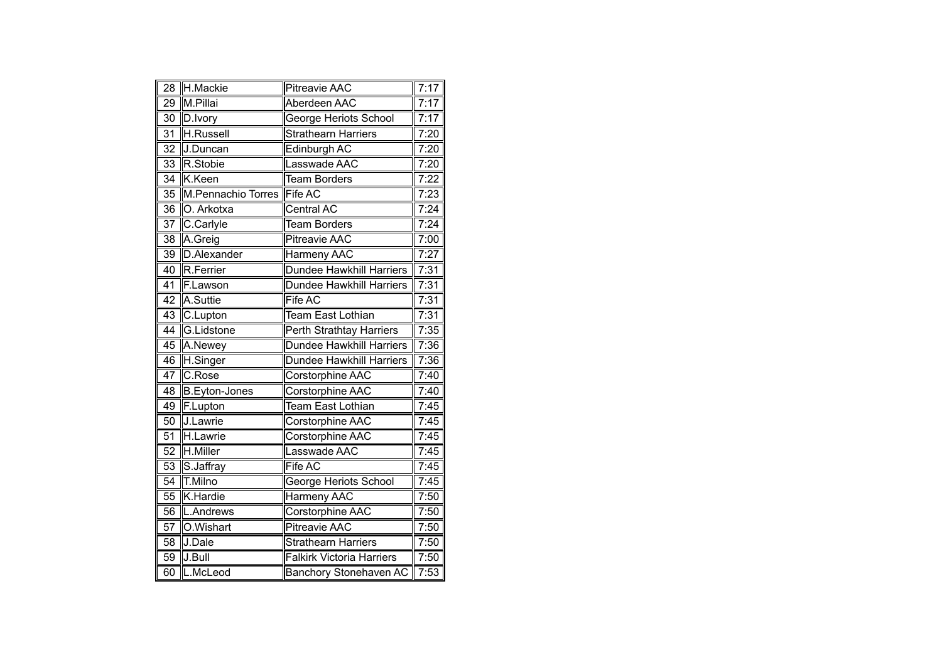| 28              | H.Mackie             | <b>Pitreavie AAC</b>             | 7:17 |
|-----------------|----------------------|----------------------------------|------|
| $\overline{29}$ | M.Pillai             | Aberdeen AAC                     | 7:17 |
| $\overline{30}$ | D.Ivory              | George Heriots School            | 7:17 |
| 31              | <b>H.Russell</b>     | <b>Strathearn Harriers</b>       | 7:20 |
| 32              | J.Duncan             | Edinburgh AC                     | 7:20 |
| 33              | R.Stobie             | Lasswade AAC                     | 7:20 |
| 34              | K.Keen               | <b>Team Borders</b>              | 7:22 |
| 35              | M.Pennachio Torres   | Fife AC                          | 7:23 |
| $\overline{36}$ | O. Arkotxa           | Central AC                       | 7:24 |
| $\overline{37}$ | C.Carlyle            | <b>Team Borders</b>              | 7:24 |
| 38              | A.Greig              | <b>Pitreavie AAC</b>             | 7:00 |
| 39              | D.Alexander          | Harmeny AAC                      | 7:27 |
| 40              | R.Ferrier            | <b>Dundee Hawkhill Harriers</b>  | 7:31 |
| $\overline{41}$ | F.Lawson             | <b>Dundee Hawkhill Harriers</b>  | 7:31 |
| 42              | A.Suttie             | <b>Fife AC</b>                   | 7:31 |
| 43              | C.Lupton             | <b>Team East Lothian</b>         | 7:31 |
| $\overline{44}$ | G.Lidstone           | Perth Strathtay Harriers         | 7:35 |
| 45              | A.Newey              | <b>Dundee Hawkhill Harriers</b>  | 7:36 |
| 46              | H.Singer             | <b>Dundee Hawkhill Harriers</b>  | 7:36 |
| 47              | C.Rose               | Corstorphine AAC                 | 7:40 |
| $\overline{48}$ | <b>B.Eyton-Jones</b> | <b>Corstorphine AAC</b>          | 7:40 |
| 49              | F.Lupton             | Team East Lothian                | 7:45 |
| 50              | J.Lawrie             | Corstorphine AAC                 | 7:45 |
| 51              | H.Lawrie             | Corstorphine AAC                 | 7:45 |
| $\overline{52}$ | H.Miller             | Lasswade AAC                     | 7:45 |
| 53              | S.Jaffray            | Fife AC                          | 7:45 |
| 54              | T.Milno              | George Heriots School            | 7:45 |
| 55              | K.Hardie             | <b>Harmeny AAC</b>               | 7:50 |
| $\overline{56}$ | L.Andrews            | Corstorphine AAC                 | 7:50 |
| 57              | O.Wishart            | <b>Pitreavie AAC</b>             | 7:50 |
| 58              | J.Dale               | <b>Strathearn Harriers</b>       | 7:50 |
| 59              | J.Bull               | <b>Falkirk Victoria Harriers</b> | 7:50 |
| $\overline{60}$ | L.McLeod             | Banchory Stonehaven AC           | 7:53 |